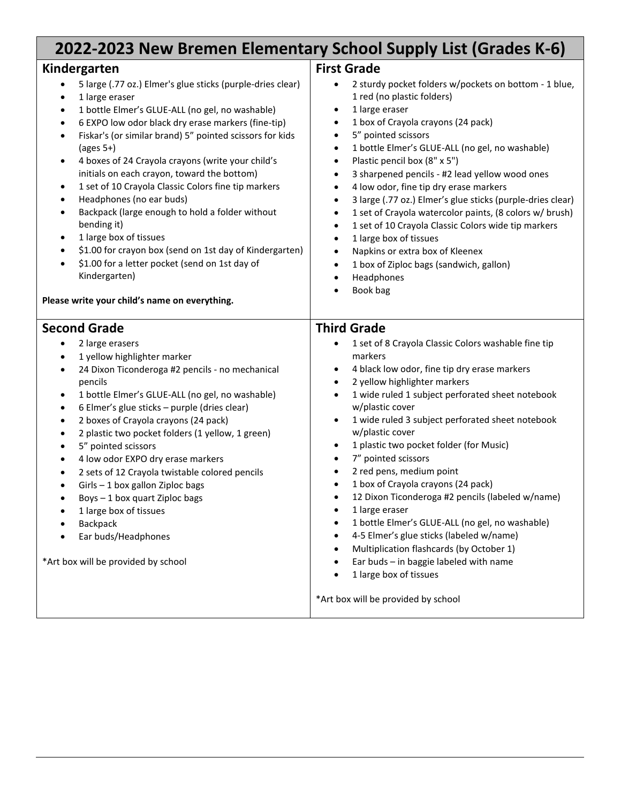| 2022-2023 New Bremen Elementary School Supply List (Grades K-6)                                                                                                                                                                                                                                                                                                                                                                                                                                                                                                                                                                                                                                                                                                                                                                                           |                                                                                                                                                                                                                                                                                                                                                                                                                                                                                                                                                                                                                                                                                                                                                                                                                                                                                                                                                                  |
|-----------------------------------------------------------------------------------------------------------------------------------------------------------------------------------------------------------------------------------------------------------------------------------------------------------------------------------------------------------------------------------------------------------------------------------------------------------------------------------------------------------------------------------------------------------------------------------------------------------------------------------------------------------------------------------------------------------------------------------------------------------------------------------------------------------------------------------------------------------|------------------------------------------------------------------------------------------------------------------------------------------------------------------------------------------------------------------------------------------------------------------------------------------------------------------------------------------------------------------------------------------------------------------------------------------------------------------------------------------------------------------------------------------------------------------------------------------------------------------------------------------------------------------------------------------------------------------------------------------------------------------------------------------------------------------------------------------------------------------------------------------------------------------------------------------------------------------|
| Kindergarten<br>5 large (.77 oz.) Elmer's glue sticks (purple-dries clear)<br>1 large eraser<br>$\bullet$<br>1 bottle Elmer's GLUE-ALL (no gel, no washable)<br>$\bullet$<br>6 EXPO low odor black dry erase markers (fine-tip)<br>٠<br>Fiskar's (or similar brand) 5" pointed scissors for kids<br>٠<br>$(\text{ages } 5+)$<br>4 boxes of 24 Crayola crayons (write your child's<br>٠<br>initials on each crayon, toward the bottom)<br>1 set of 10 Crayola Classic Colors fine tip markers<br>$\bullet$<br>Headphones (no ear buds)<br>٠<br>Backpack (large enough to hold a folder without<br>$\bullet$<br>bending it)<br>1 large box of tissues<br>$\bullet$<br>\$1.00 for crayon box (send on 1st day of Kindergarten)<br>٠<br>\$1.00 for a letter pocket (send on 1st day of<br>٠<br>Kindergarten)<br>Please write your child's name on everything. | <b>First Grade</b><br>2 sturdy pocket folders w/pockets on bottom - 1 blue,<br>$\bullet$<br>1 red (no plastic folders)<br>1 large eraser<br>$\bullet$<br>1 box of Crayola crayons (24 pack)<br>$\bullet$<br>5" pointed scissors<br>$\bullet$<br>1 bottle Elmer's GLUE-ALL (no gel, no washable)<br>$\bullet$<br>Plastic pencil box (8" x 5")<br>$\bullet$<br>3 sharpened pencils - #2 lead yellow wood ones<br>$\bullet$<br>4 low odor, fine tip dry erase markers<br>$\bullet$<br>3 large (.77 oz.) Elmer's glue sticks (purple-dries clear)<br>$\bullet$<br>1 set of Crayola watercolor paints, (8 colors w/ brush)<br>$\bullet$<br>1 set of 10 Crayola Classic Colors wide tip markers<br>$\bullet$<br>1 large box of tissues<br>$\bullet$<br>Napkins or extra box of Kleenex<br>$\bullet$<br>1 box of Ziploc bags (sandwich, gallon)<br>$\bullet$<br>Headphones<br>$\bullet$<br>Book bag                                                                     |
| <b>Second Grade</b><br>2 large erasers<br>1 yellow highlighter marker<br>$\bullet$<br>24 Dixon Ticonderoga #2 pencils - no mechanical<br>$\bullet$<br>pencils<br>1 bottle Elmer's GLUE-ALL (no gel, no washable)<br>$\bullet$<br>6 Elmer's glue sticks - purple (dries clear)<br>$\bullet$<br>2 boxes of Crayola crayons (24 pack)<br>$\bullet$<br>2 plastic two pocket folders (1 yellow, 1 green)<br>٠<br>5" pointed scissors<br>$\bullet$<br>4 low odor EXPO dry erase markers<br>$\bullet$<br>2 sets of 12 Crayola twistable colored pencils<br>$\bullet$<br>Girls - 1 box gallon Ziploc bags<br>٠<br>Boys - 1 box quart Ziploc bags<br>$\bullet$<br>1 large box of tissues<br><b>Backpack</b><br>Ear buds/Headphones<br>*Art box will be provided by school                                                                                          | <b>Third Grade</b><br>1 set of 8 Crayola Classic Colors washable fine tip<br>markers<br>4 black low odor, fine tip dry erase markers<br>$\bullet$<br>2 yellow highlighter markers<br>$\bullet$<br>1 wide ruled 1 subject perforated sheet notebook<br>$\bullet$<br>w/plastic cover<br>1 wide ruled 3 subject perforated sheet notebook<br>$\bullet$<br>w/plastic cover<br>1 plastic two pocket folder (for Music)<br>$\bullet$<br>7" pointed scissors<br>$\bullet$<br>2 red pens, medium point<br>$\bullet$<br>1 box of Crayola crayons (24 pack)<br>$\bullet$<br>12 Dixon Ticonderoga #2 pencils (labeled w/name)<br>٠<br>1 large eraser<br>$\bullet$<br>1 bottle Elmer's GLUE-ALL (no gel, no washable)<br>$\bullet$<br>4-5 Elmer's glue sticks (labeled w/name)<br>$\bullet$<br>Multiplication flashcards (by October 1)<br>$\bullet$<br>Ear buds - in baggie labeled with name<br>$\bullet$<br>1 large box of tissues<br>*Art box will be provided by school |